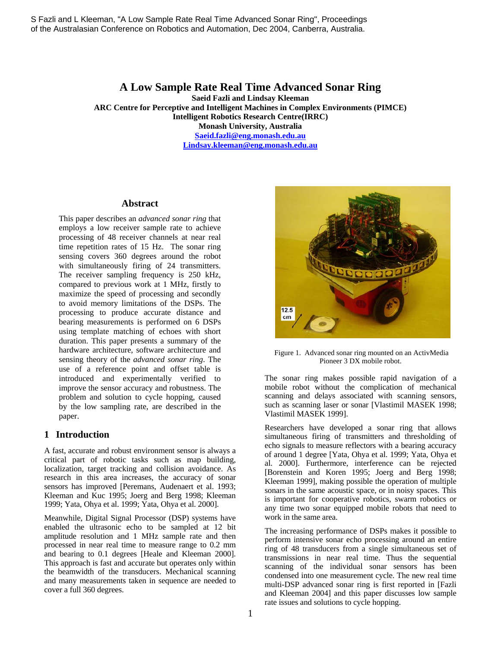## **A Low Sample Rate Real Time Advanced Sonar Ring**

**Saeid Fazli and Lindsay Kleeman** 

**ARC Centre for Perceptive and Intelligent Machines in Complex Environments (PIMCE)** 

**Intelligent Robotics Research Centre(IRRC)** 

**Monash University, Australia** 

**Saeid.fazli@eng.monash.edu.au Lindsay.kleeman@eng.monash.edu.au**

**Abstract** 

This paper describes an *advanced sonar ring* that employs a low receiver sample rate to achieve processing of 48 receiver channels at near real time repetition rates of 15 Hz. The sonar ring sensing covers 360 degrees around the robot with simultaneously firing of 24 transmitters. The receiver sampling frequency is 250 kHz, compared to previous work at 1 MHz, firstly to maximize the speed of processing and secondly to avoid memory limitations of the DSPs. The processing to produce accurate distance and bearing measurements is performed on 6 DSPs using template matching of echoes with short duration. This paper presents a summary of the hardware architecture, software architecture and sensing theory of the *advanced sonar ring*. The use of a reference point and offset table is introduced and experimentally verified to improve the sensor accuracy and robustness. The problem and solution to cycle hopping, caused by the low sampling rate, are described in the paper. S Fazli and the term of the term of the cycle hopping.<br>
S Fazli and L Kleeman, Alexander and Solutions to consider the solution of the cycle hopping.<br>
A Low Sample Rate Real Time Advanced Sonar Ring<br>
ARC Cerric for Persp

### **1 Introduction**

A fast, accurate and robust environment sensor is always a critical part of robotic tasks such as map building, localization, target tracking and collision avoidance. As research in this area increases, the accuracy of sonar sensors has improved [Peremans, Audenaert et al. 1993; Kleeman and Kuc 1995; Joerg and Berg 1998; Kleeman 1999; Yata, Ohya et al. 1999; Yata, Ohya et al. 2000].

Meanwhile, Digital Signal Processor (DSP) systems have enabled the ultrasonic echo to be sampled at 12 bit amplitude resolution and 1 MHz sample rate and then processed in near real time to measure range to 0.2 mm and bearing to 0.1 degrees [Heale and Kleeman 2000]. This approach is fast and accurate but operates only within the beamwidth of the transducers. Mechanical scanning and many measurements taken in sequence are needed to cover a full 360 degrees.



 Figure 1. Advanced sonar ring mounted on an ActivMedia Pioneer 3 DX mobile robot.

The sonar ring makes possible rapid navigation of a mobile robot without the complication of mechanical scanning and delays associated with scanning sensors, such as scanning laser or sonar [Vlastimil MASEK 1998; Vlastimil MASEK 1999].

Researchers have developed a sonar ring that allows simultaneous firing of transmitters and thresholding of echo signals to measure reflectors with a bearing accuracy of around 1 degree [Yata, Ohya et al. 1999; Yata, Ohya et al. 2000]. Furthermore, interference can be rejected [Borenstein and Koren 1995; Joerg and Berg 1998; Kleeman 1999], making possible the operation of multiple sonars in the same acoustic space, or in noisy spaces. This is important for cooperative robotics, swarm robotics or any time two sonar equipped mobile robots that need to work in the same area.

The increasing performance of DSPs makes it possible to perform intensive sonar echo processing around an entire ring of 48 transducers from a single simultaneous set of transmissions in near real time. Thus the sequential scanning of the individual sonar sensors has been condensed into one measurement cycle. The new real time multi-DSP advanced sonar ring is first reported in [Fazli and Kleeman 2004] and this paper discusses low sample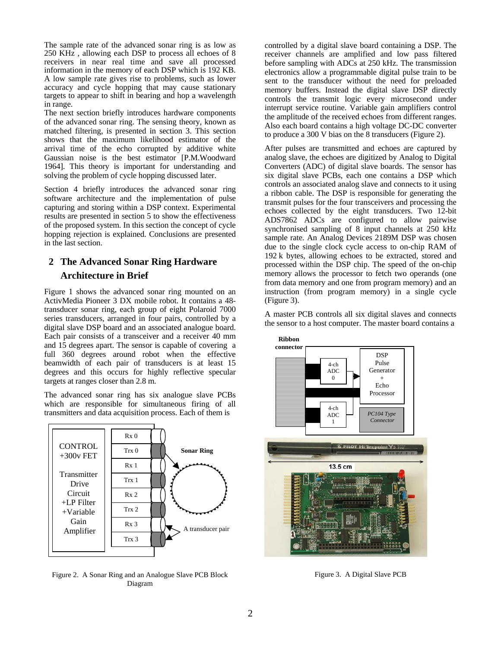The sample rate of the advanced sonar ring is as low as 250 KHz , allowing each DSP to process all echoes of 8 receivers in near real time and save all processed information in the memory of each DSP which is 192 KB. A low sample rate gives rise to problems, such as lower accuracy and cycle hopping that may cause stationary targets to appear to shift in bearing and hop a wavelength in range.

The next section briefly introduces hardware components of the advanced sonar ring. The sensing theory, known as matched filtering, is presented in section 3. This section shows that the maximum likelihood estimator of the arrival time of the echo corrupted by additive white Gaussian noise is the best estimator [P.M.Woodward 1964]. This theory is important for understanding and solving the problem of cycle hopping discussed later.

Section 4 briefly introduces the advanced sonar ring software architecture and the implementation of pulse capturing and storing within a DSP context. Experimental results are presented in section 5 to show the effectiveness of the proposed system. In this section the concept of cycle hopping rejection is explained. Conclusions are presented in the last section.

## **2 The Advanced Sonar Ring Hardware Architecture in Brief**

Figure 1 shows the advanced sonar ring mounted on an ActivMedia Pioneer 3 DX mobile robot. It contains a 48 transducer sonar ring, each group of eight Polaroid 7000 series transducers, arranged in four pairs, controlled by a digital slave DSP board and an associated analogue board. Each pair consists of a transceiver and a receiver 40 mm and 15 degrees apart. The sensor is capable of covering a full 360 degrees around robot when the effective beamwidth of each pair of transducers is at least 15 degrees and this occurs for highly reflective specular targets at ranges closer than 2.8 m.

The advanced sonar ring has six analogue slave PCBs which are responsible for simultaneous firing of all transmitters and data acquisition process. Each of them is



Figure 2. A Sonar Ring and an Analogue Slave PCB Block Diagram

controlled by a digital slave board containing a DSP. The receiver channels are amplified and low pass filtered before sampling with ADCs at 250 kHz. The transmission electronics allow a programmable digital pulse train to be sent to the transducer without the need for preloaded memory buffers. Instead the digital slave DSP directly controls the transmit logic every microsecond under interrupt service routine. Variable gain amplifiers control the amplitude of the received echoes from different ranges. Also each board contains a high voltage DC-DC converter to produce a 300 V bias on the 8 transducers (Figure 2).

After pulses are transmitted and echoes are captured by analog slave, the echoes are digitized by Analog to Digital Converters (ADC) of digital slave boards. The sensor has six digital slave PCBs, each one contains a DSP which controls an associated analog slave and connects to it using a ribbon cable. The DSP is responsible for generating the transmit pulses for the four transceivers and processing the echoes collected by the eight transducers. Two 12-bit ADS7862 ADCs are configured to allow pairwise synchronised sampling of 8 input channels at 250 kHz sample rate. An Analog Devices 2189M DSP was chosen due to the single clock cycle access to on-chip RAM of 192 k bytes, allowing echoes to be extracted, stored and processed within the DSP chip. The speed of the on-chip memory allows the processor to fetch two operands (one from data memory and one from program memory) and an instruction (from program memory) in a single cycle (Figure 3).

A master PCB controls all six digital slaves and connects the sensor to a host computer. The master board contains a



Figure 3. A Digital Slave PCB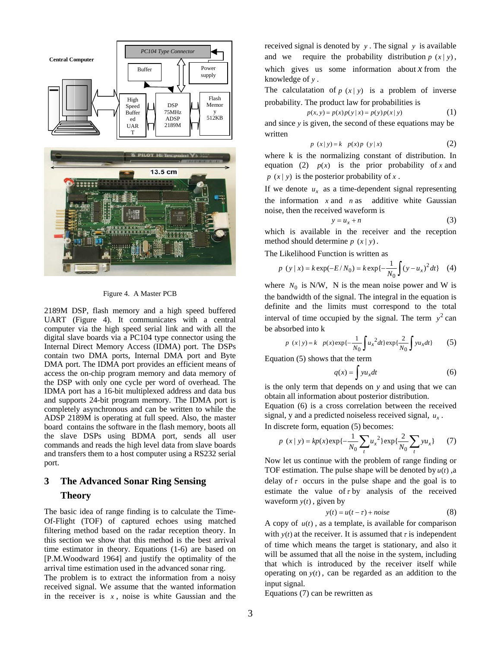

Figure 4. A Master PCB

2189M DSP, flash memory and a high speed buffered UART (Figure 4). It communicates with a central computer via the high speed serial link and with all the digital slave boards via a PC104 type connector using the Internal Direct Memory Access (IDMA) port. The DSPs contain two DMA ports, Internal DMA port and Byte DMA port. The IDMA port provides an efficient means of access the on-chip program memory and data memory of the DSP with only one cycle per word of overhead. The IDMA port has a 16-bit multiplexed address and data bus and supports 24-bit program memory. The IDMA port is completely asynchronous and can be written to while the ADSP 2189M is operating at full speed. Also, the master board contains the software in the flash memory, boots all the slave DSPs using BDMA port, sends all user commands and reads the high level data from slave boards and transfers them to a host computer using a RS232 serial port.

## **3 The Advanced Sonar Ring Sensing Theory**

The basic idea of range finding is to calculate the Time-Of-Flight (TOF) of captured echoes using matched filtering method based on the radar reception theory. In this section we show that this method is the best arrival time estimator in theory. Equations (1-6) are based on [P.M.Woodward 1964] and justify the optimality of the arrival time estimation used in the advanced sonar ring.

The problem is to extract the information from a noisy received signal. We assume that the wanted information in the receiver is  $x$ , noise is white Gaussian and the received signal is denoted by *y* . The signal *y* is available and we require the probability distribution  $p(x|y)$ , which gives us some information about  $x$  from the knowledge of *y* .

The calculatation of  $p(x|y)$  is a problem of inverse probability. The product law for probabilities is

$$
p(x, y) = p(x)p(y|x) = p(y)p(x|y)
$$
 (1)

and since *y* is given, the second of these equations may be written

$$
p(x|y)=k p(x)p(y|x)
$$
 (2)

where k is the normalizing constant of distribution. In equation (2)  $p(x)$  is the prior probability of *x* and  $p(x|y)$  is the posterior probability of *x*.

If we denote  $u_x$  as a time-dependent signal representing the information  $x$  and  $n$  as additive white Gaussian noise, then the received waveform is

$$
y = u_x + n \tag{3}
$$

which is available in the receiver and the reception method should determine  $p(x|y)$ .

The Likelihood Function is written as

$$
p(y \mid x) = k \exp(-E/N_0) = k \exp\{-\frac{1}{N_0} \int (y - u_x)^2 dt\} \quad (4)
$$

where  $N_0$  is N/W, N is the mean noise power and W is the bandwidth of the signal. The integral in the equation is definite and the limits must correspond to the total interval of time occupied by the signal. The term  $y^2$  can be absorbed into k

$$
p(x|y) = k p(x) \exp\{-\frac{1}{N_0} \int u_x^2 dt\} \exp\{\frac{2}{N_0} \int y u_x dt\}
$$
 (5)

Equation (5) shows that the term

$$
q(x) = \int y u_x dt
$$
 (6)

is the only term that depends on *y* and using that we can obtain all information about posterior distribution.

Equation (6) is a cross correlation between the received signal, y and a predicted noiseless received signal, *ux* .

In discrete form, equation (5) becomes:

$$
p(x \mid y) = kp(x) \exp\{-\frac{1}{N_0} \sum_{t} u_x^2\} \exp\{\frac{2}{N_0} \sum_{t} y u_x\} \tag{7}
$$

Now let us continue with the problem of range finding or TOF estimation. The pulse shape will be denoted by *u*(*t*) ,a delay of  $\tau$  occurs in the pulse shape and the goal is to estimate the value of  $\tau$  by analysis of the received waveform  $y(t)$ , given by

$$
y(t) = u(t - \tau) + noise \tag{8}
$$

A copy of  $u(t)$ , as a template, is available for comparison with  $y(t)$  at the receiver. It is assumed that  $\tau$  is independent of time which means the target is stationary, and also it will be assumed that all the noise in the system, including that which is introduced by the receiver itself while operating on  $y(t)$ , can be regarded as an addition to the input signal.

Equations (7) can be rewritten as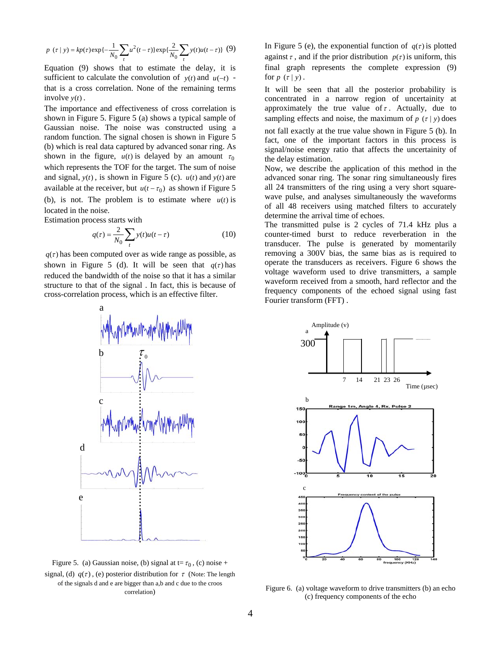$$
p(\tau | y) = k p(\tau) \exp\{-\frac{1}{N_0} \sum_{t} u^2(t - \tau) \} \exp\{\frac{2}{N_0} \sum_{t} y(t) u(t - \tau) \} (9)
$$

Equation (9) shows that to estimate the delay, it is sufficient to calculate the convolution of  $y(t)$  and  $u(-t)$  that is a cross correlation. None of the remaining terms involve  $y(t)$ .

The importance and effectiveness of cross correlation is shown in Figure 5. Figure 5 (a) shows a typical sample of Gaussian noise. The noise was constructed using a random function. The signal chosen is shown in Figure 5 (b) which is real data captured by advanced sonar ring. As shown in the figure,  $u(t)$  is delayed by an amount  $\tau_0$ which represents the TOF for the target. The sum of noise and signal,  $y(t)$ , is shown in Figure 5 (c).  $u(t)$  and  $y(t)$  are available at the receiver, but  $u(t - \tau_0)$  as shown if Figure 5 (b), is not. The problem is to estimate where  $u(t)$  is located in the noise.

Estimation process starts with

$$
q(\tau) = \frac{2}{N_0} \sum_{t} y(t)u(t - \tau)
$$
 (10)

 $q(\tau)$  has been computed over as wide range as possible, as shown in Figure 5 (d). It will be seen that  $q(\tau)$  has reduced the bandwidth of the noise so that it has a similar structure to that of the signal . In fact, this is because of cross-correlation process, which is an effective filter.



Figure 5. (a) Gaussian noise, (b) signal at  $t = \tau_0$ , (c) noise + signal, (d)  $q(\tau)$ , (e) posterior distribution for  $\tau$  (Note: The length of the signals d and e are bigger than a,b and c due to the croos correlation)

In Figure 5 (e), the exponential function of  $q(\tau)$  is plotted against  $\tau$ , and if the prior distribution  $p(\tau)$  is uniform, this final graph represents the complete expression (9) for  $p(\tau | y)$ .

It will be seen that all the posterior probability is concentrated in a narrow region of uncertainity at approximately the true value of  $\tau$ . Actually, due to sampling effects and noise, the maximum of  $p(\tau | y)$  does

not fall exactly at the true value shown in Figure 5 (b). In fact, one of the important factors in this process is signal/noise energy ratio that affects the uncertainity of the delay estimation.

Now, we describe the application of this method in the advanced sonar ring. The sonar ring simultaneously fires all 24 transmitters of the ring using a very short squarewave pulse, and analyses simultaneously the waveforms of all 48 receivers using matched filters to accurately determine the arrival time of echoes.

The transmitted pulse is 2 cycles of 71.4 kHz plus a counter-timed burst to reduce reverberation in the transducer. The pulse is generated by momentarily removing a 300V bias, the same bias as is required to operate the transducers as receivers. Figure 6 shows the voltage waveform used to drive transmitters, a sample waveform received from a smooth, hard reflector and the frequency components of the echoed signal using fast Fourier transform (FFT) .



Figure 6. (a) voltage waveform to drive transmitters (b) an echo (c) frequency components of the echo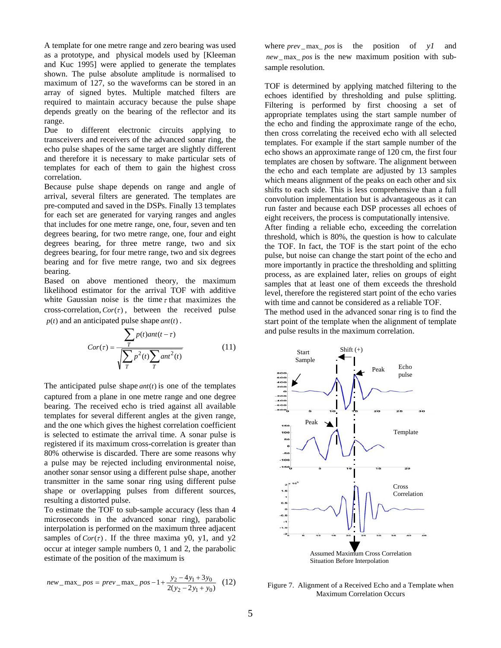A template for one metre range and zero bearing was used as a prototype, and physical models used by [Kleeman and Kuc 1995] were applied to generate the templates shown. The pulse absolute amplitude is normalised to maximum of 127, so the waveforms can be stored in an array of signed bytes. Multiple matched filters are required to maintain accuracy because the pulse shape depends greatly on the bearing of the reflector and its range.

Due to different electronic circuits applying to transceivers and receivers of the advanced sonar ring, the echo pulse shapes of the same target are slightly different and therefore it is necessary to make particular sets of templates for each of them to gain the highest cross correlation.

Because pulse shape depends on range and angle of arrival, several filters are generated. The templates are pre-computed and saved in the DSPs. Finally 13 templates for each set are generated for varying ranges and angles that includes for one metre range, one, four, seven and ten degrees bearing, for two metre range, one, four and eight degrees bearing, for three metre range, two and six degrees bearing, for four metre range, two and six degrees bearing and for five metre range, two and six degrees bearing.

Based on above mentioned theory, the maximum likelihood estimator for the arrival TOF with additive white Gaussian noise is the time  $\tau$  that maximizes the cross-correlation,  $Cor(\tau)$ , between the received pulse  $p(t)$  and an anticipated pulse shape  $ant(t)$ .

$$
Cor(\tau) = \frac{\sum_{T} p(t)ant(t - \tau)}{\sqrt{\sum_{T} p^{2}(t) \sum_{T} ant^{2}(t)}} \tag{11}
$$

The anticipated pulse shape *ant*(*t*) is one of the templates captured from a plane in one metre range and one degree bearing. The received echo is tried against all available templates for several different angles at the given range, and the one which gives the highest correlation coefficient is selected to estimate the arrival time. A sonar pulse is registered if its maximum cross-correlation is greater than 80% otherwise is discarded. There are some reasons why a pulse may be rejected including environmental noise, another sonar sensor using a different pulse shape, another transmitter in the same sonar ring using different pulse shape or overlapping pulses from different sources, resulting a distorted pulse.

To estimate the TOF to sub-sample accuracy (less than 4 microseconds in the advanced sonar ring), parabolic interpolation is performed on the maximum three adjacent samples of  $Cor(\tau)$ . If the three maxima y0, y1, and y2 occur at integer sample numbers 0, 1 and 2, the parabolic estimate of the position of the maximum is

$$
new\_max\_pos = prev\_max\_pos - 1 + \frac{y_2 - 4y_1 + 3y_0}{2(y_2 - 2y_1 + y_0)}
$$
 (12)

where *prev* \_ max\_ *pos* is the position of *y1* and *new*\_ max\_ *pos* is the new maximum position with subsample resolution.

TOF is determined by applying matched filtering to the echoes identified by thresholding and pulse splitting. Filtering is performed by first choosing a set of appropriate templates using the start sample number of the echo and finding the approximate range of the echo, then cross correlating the received echo with all selected templates. For example if the start sample number of the echo shows an approximate range of 120 cm, the first four templates are chosen by software. The alignment between the echo and each template are adjusted by 13 samples which means alignment of the peaks on each other and six shifts to each side. This is less comprehensive than a full convolution implementation but is advantageous as it can run faster and because each DSP processes all echoes of eight receivers, the process is computationally intensive. After finding a reliable echo, exceeding the correlation threshold, which is 80%, the question is how to calculate the TOF. In fact, the TOF is the start point of the echo pulse, but noise can change the start point of the echo and more importantly in practice the thresholding and splitting process, as are explained later, relies on groups of eight samples that at least one of them exceeds the threshold level, therefore the registered start point of the echo varies with time and cannot be considered as a reliable TOF. The method used in the advanced sonar ring is to find the

start point of the template when the alignment of template and pulse results in the maximum correlation.



Figure 7. Alignment of a Received Echo and a Template when Maximum Correlation Occurs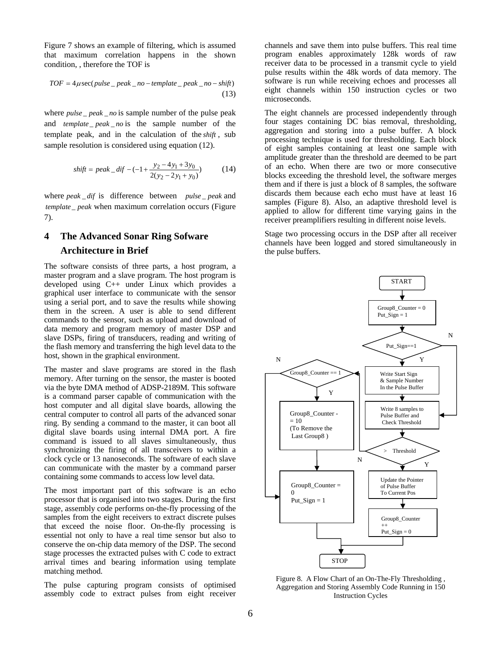Figure 7 shows an example of filtering, which is assumed that maximum correlation happens in the shown condition, , therefore the TOF is

$$
TOF = 4\mu \sec(pulse \_\ peak \_no - template \_\ peak \_no - shift)
$$
\n(13)

where *pulse* \_ *peak* \_ *no* is sample number of the pulse peak and *template* peak no is the sample number of the template peak, and in the calculation of the *shift* , sub sample resolution is considered using equation (12).

$$
shift = peak\_dif - (-1 + \frac{y_2 - 4y_1 + 3y_0}{2(y_2 - 2y_1 + y_0)})
$$
 (14)

where *peak* \_ *dif* is difference between *pulse* \_ *peak* and *template* \_ *peak* when maximum correlation occurs (Figure 7).

# **4 The Advanced Sonar Ring Sofware Architecture in Brief**

The software consists of three parts, a host program, a master program and a slave program. The host program is developed using C++ under Linux which provides a graphical user interface to communicate with the sensor using a serial port, and to save the results while showing them in the screen. A user is able to send different commands to the sensor, such as upload and download of data memory and program memory of master DSP and slave DSPs, firing of transducers, reading and writing of the flash memory and transferring the high level data to the host, shown in the graphical environment.

The master and slave programs are stored in the flash memory. After turning on the sensor, the master is booted via the byte DMA method of ADSP-2189M. This software is a command parser capable of communication with the host computer and all digital slave boards, allowing the central computer to control all parts of the advanced sonar ring. By sending a command to the master, it can boot all digital slave boards using internal DMA port. A fire command is issued to all slaves simultaneously, thus synchronizing the firing of all transceivers to within a clock cycle or 13 nanoseconds. The software of each slave can communicate with the master by a command parser containing some commands to access low level data.

The most important part of this software is an echo processor that is organised into two stages. During the first stage, assembly code performs on-the-fly processing of the samples from the eight receivers to extract discrete pulses that exceed the noise floor. On-the-fly processing is essential not only to have a real time sensor but also to conserve the on-chip data memory of the DSP. The second stage processes the extracted pulses with C code to extract arrival times and bearing information using template matching method.

The pulse capturing program consists of optimised assembly code to extract pulses from eight receiver

channels and save them into pulse buffers. This real time program enables approximately 128k words of raw receiver data to be processed in a transmit cycle to yield pulse results within the 48k words of data memory. The software is run while receiving echoes and processes all eight channels within 150 instruction cycles or two microseconds.

The eight channels are processed independently through four stages containing DC bias removal, thresholding, aggregation and storing into a pulse buffer. A block processing technique is used for thresholding. Each block of eight samples containing at least one sample with amplitude greater than the threshold are deemed to be part of an echo. When there are two or more consecutive blocks exceeding the threshold level, the software merges them and if there is just a block of 8 samples, the software discards them because each echo must have at least 16 samples (Figure 8). Also, an adaptive threshold level is applied to allow for different time varying gains in the receiver preamplifiers resulting in different noise levels.

Stage two processing occurs in the DSP after all receiver channels have been logged and stored simultaneously in the pulse buffers.



Figure 8. A Flow Chart of an On-The-Fly Thresholding , Aggregation and Storing Assembly Code Running in 150 Instruction Cycles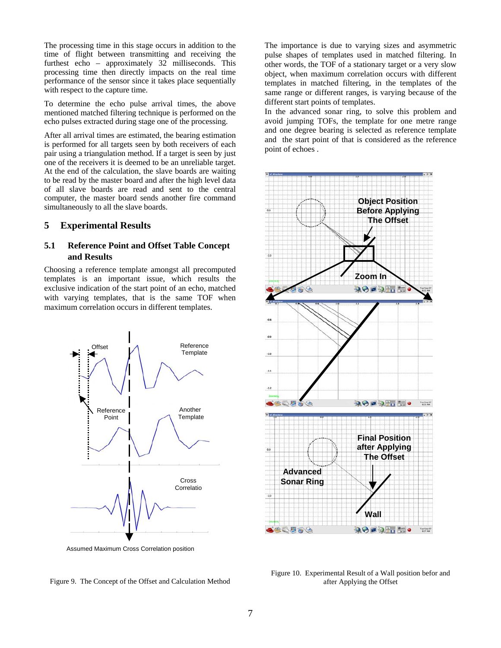The processing time in this stage occurs in addition to the time of flight between transmitting and receiving the furthest echo – approximately 32 milliseconds. This processing time then directly impacts on the real time performance of the sensor since it takes place sequentially with respect to the capture time.

To determine the echo pulse arrival times, the above mentioned matched filtering technique is performed on the echo pulses extracted during stage one of the processing.

After all arrival times are estimated, the bearing estimation is performed for all targets seen by both receivers of each pair using a triangulation method. If a target is seen by just one of the receivers it is deemed to be an unreliable target. At the end of the calculation, the slave boards are waiting to be read by the master board and after the high level data of all slave boards are read and sent to the central computer, the master board sends another fire command simultaneously to all the slave boards.

### **5 Experimental Results**

### **5.1 Reference Point and Offset Table Concept and Results**

Choosing a reference template amongst all precomputed templates is an important issue, which results the exclusive indication of the start point of an echo, matched with varying templates, that is the same TOF when maximum correlation occurs in different templates.







In the advanced sonar ring, to solve this problem and avoid jumping TOFs, the template for one metre range and one degree bearing is selected as reference template and the start point of that is considered as the reference point of echoes .



Figure 10. Experimental Result of a Wall position befor and after Applying the Offset

Figure 9. The Concept of the Offset and Calculation Method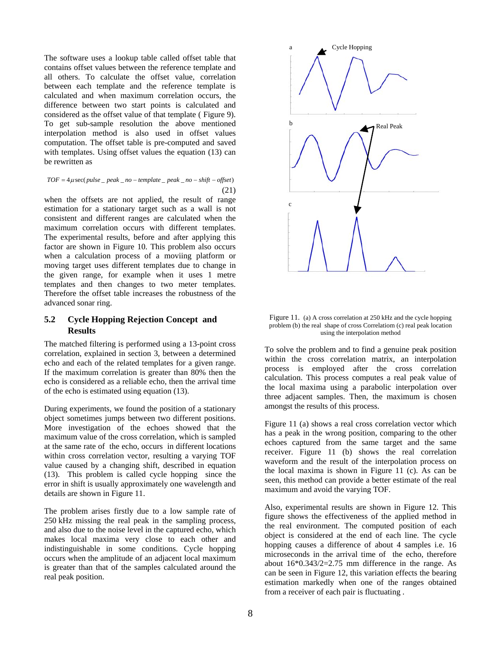The software uses a lookup table called offset table that contains offset values between the reference template and all others. To calculate the offset value, correlation between each template and the reference template is calculated and when maximum correlation occurs, the difference between two start points is calculated and considered as the offset value of that template ( Figure 9). To get sub-sample resolution the above mentioned interpolation method is also used in offset values computation. The offset table is pre-computed and saved with templates. Using offset values the equation (13) can be rewritten as

$$
TOF = 4\mu \sec(pulse \_ peak \_ no - template \_ peak \_ no - shift - offset)
$$
\n(21)

when the offsets are not applied, the result of range estimation for a stationary target such as a wall is not consistent and different ranges are calculated when the maximum correlation occurs with different templates. The experimental results, before and after applying this factor are shown in Figure 10. This problem also occurs when a calculation process of a moviing platform or moving target uses different templates due to change in the given range, for example when it uses 1 metre templates and then changes to two meter templates. Therefore the offset table increases the robustness of the advanced sonar ring.

### **5.2 Cycle Hopping Rejection Concept and Results**

The matched filtering is performed using a 13-point cross correlation, explained in section 3, between a determined echo and each of the related templates for a given range. If the maximum correlation is greater than 80% then the echo is considered as a reliable echo, then the arrival time of the echo is estimated using equation (13).

During experiments, we found the position of a stationary object sometimes jumps between two different positions. More investigation of the echoes showed that the maximum value of the cross correlation, which is sampled at the same rate of the echo, occurs in different locations within cross correlation vector, resulting a varying TOF value caused by a changing shift, described in equation (13). This problem is called cycle hopping since the error in shift is usually approximately one wavelength and details are shown in Figure 11.

The problem arises firstly due to a low sample rate of 250 kHz missing the real peak in the sampling process, and also due to the noise level in the captured echo, which makes local maxima very close to each other and indistinguishable in some conditions. Cycle hopping occurs when the amplitude of an adjacent local maximum is greater than that of the samples calculated around the real peak position.



Figure 11. (a) A cross correlation at 250 kHz and the cycle hopping problem (b) the real shape of cross Correlatiom (c) real peak location using the interpolation method

To solve the problem and to find a genuine peak position within the cross correlation matrix, an interpolation process is employed after the cross correlation calculation. This process computes a real peak value of the local maxima using a parabolic interpolation over three adjacent samples. Then, the maximum is chosen amongst the results of this process.

Figure 11 (a) shows a real cross correlation vector which has a peak in the wrong position, comparing to the other echoes captured from the same target and the same receiver. Figure 11 (b) shows the real correlation waveform and the result of the interpolation process on the local maxima is shown in Figure 11 (c). As can be seen, this method can provide a better estimate of the real maximum and avoid the varying TOF.

Also, experimental results are shown in Figure 12. This figure shows the effectiveness of the applied method in the real environment. The computed position of each object is considered at the end of each line. The cycle hopping causes a difference of about 4 samples i.e. 16 microseconds in the arrival time of the echo, therefore about 16\*0.343/2=2.75 mm difference in the range. As can be seen in Figure 12, this variation effects the bearing estimation markedly when one of the ranges obtained from a receiver of each pair is fluctuating .